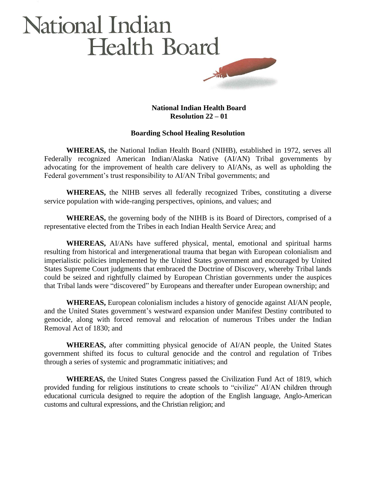## National Indian **Health Board** Harry Commercial

## **National Indian Health Board Resolution 22 – 01**

## **Boarding School Healing Resolution**

**WHEREAS,** the National Indian Health Board (NIHB), established in 1972, serves all Federally recognized American Indian/Alaska Native (AI/AN) Tribal governments by advocating for the improvement of health care delivery to AI/ANs, as well as upholding the Federal government's trust responsibility to AI/AN Tribal governments; and

**WHEREAS,** the NIHB serves all federally recognized Tribes, constituting a diverse service population with wide-ranging perspectives, opinions, and values; and

**WHEREAS,** the governing body of the NIHB is its Board of Directors, comprised of a representative elected from the Tribes in each Indian Health Service Area; and

**WHEREAS,** AI/ANs have suffered physical, mental, emotional and spiritual harms resulting from historical and intergenerational trauma that began with European colonialism and imperialistic policies implemented by the United States government and encouraged by United States Supreme Court judgments that embraced the Doctrine of Discovery, whereby Tribal lands could be seized and rightfully claimed by European Christian governments under the auspices that Tribal lands were "discovered" by Europeans and thereafter under European ownership; and

**WHEREAS,** European colonialism includes a history of genocide against AI/AN people, and the United States government's westward expansion under Manifest Destiny contributed to genocide, along with forced removal and relocation of numerous Tribes under the Indian Removal Act of 1830; and

**WHEREAS,** after committing physical genocide of AI/AN people, the United States government shifted its focus to cultural genocide and the control and regulation of Tribes through a series of systemic and programmatic initiatives; and

**WHEREAS,** the United States Congress passed the Civilization Fund Act of 1819, which provided funding for religious institutions to create schools to "civilize" AI/AN children through educational curricula designed to require the adoption of the English language, Anglo-American customs and cultural expressions, and the Christian religion; and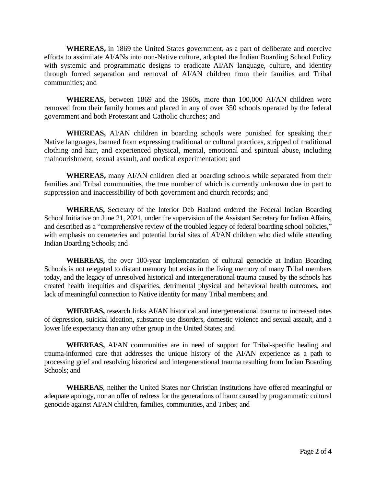**WHEREAS,** in 1869 the United States government, as a part of deliberate and coercive efforts to assimilate AI/ANs into non-Native culture, adopted the Indian Boarding School Policy with systemic and programmatic designs to eradicate AI/AN language, culture, and identity through forced separation and removal of AI/AN children from their families and Tribal communities; and

**WHEREAS,** between 1869 and the 1960s, more than 100,000 AI/AN children were removed from their family homes and placed in any of over 350 schools operated by the federal government and both Protestant and Catholic churches; and

**WHEREAS,** AI/AN children in boarding schools were punished for speaking their Native languages, banned from expressing traditional or cultural practices, stripped of traditional clothing and hair, and experienced physical, mental, emotional and spiritual abuse, including malnourishment, sexual assault, and medical experimentation; and

**WHEREAS,** many AI/AN children died at boarding schools while separated from their families and Tribal communities, the true number of which is currently unknown due in part to suppression and inaccessibility of both government and church records; and

**WHEREAS,** Secretary of the Interior Deb Haaland ordered the Federal Indian Boarding School Initiative on June 21, 2021, under the supervision of the Assistant Secretary for Indian Affairs, and described as a "comprehensive review of the troubled legacy of federal boarding school policies," with emphasis on cemeteries and potential burial sites of AI/AN children who died while attending Indian Boarding Schools; and

**WHEREAS,** the over 100-year implementation of cultural genocide at Indian Boarding Schools is not relegated to distant memory but exists in the living memory of many Tribal members today, and the legacy of unresolved historical and intergenerational trauma caused by the schools has created health inequities and disparities, detrimental physical and behavioral health outcomes, and lack of meaningful connection to Native identity for many Tribal members; and

**WHEREAS,** research links AI/AN historical and intergenerational trauma to increased rates of depression, suicidal ideation, substance use disorders, domestic violence and sexual assault, and a lower life expectancy than any other group in the United States; and

**WHEREAS,** AI/AN communities are in need of support for Tribal-specific healing and trauma-informed care that addresses the unique history of the AI/AN experience as a path to processing grief and resolving historical and intergenerational trauma resulting from Indian Boarding Schools; and

**WHEREAS**, neither the United States nor Christian institutions have offered meaningful or adequate apology, nor an offer of redress for the generations of harm caused by programmatic cultural genocide against AI/AN children, families, communities, and Tribes; and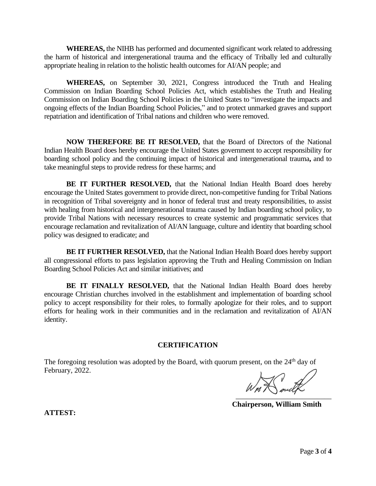**WHEREAS,** the NIHB has performed and documented significant work related to addressing the harm of historical and intergenerational trauma and the efficacy of Tribally led and culturally appropriate healing in relation to the holistic health outcomes for AI/AN people; and

**WHEREAS,** on September 30, 2021, Congress introduced the Truth and Healing Commission on Indian Boarding School Policies Act, which establishes the Truth and Healing Commission on Indian Boarding School Policies in the United States to "investigate the impacts and ongoing effects of the Indian Boarding School Policies," and to protect unmarked graves and support repatriation and identification of Tribal nations and children who were removed.

**NOW THEREFORE BE IT RESOLVED,** that the Board of Directors of the National Indian Health Board does hereby encourage the United States government to accept responsibility for boarding school policy and the continuing impact of historical and intergenerational trauma**,** and to take meaningful steps to provide redress for these harms; and

**BE IT FURTHER RESOLVED,** that the National Indian Health Board does hereby encourage the United States government to provide direct, non-competitive funding for Tribal Nations in recognition of Tribal sovereignty and in honor of federal trust and treaty responsibilities, to assist with healing from historical and intergenerational trauma caused by Indian boarding school policy, to provide Tribal Nations with necessary resources to create systemic and programmatic services that encourage reclamation and revitalization of AI/AN language, culture and identity that boarding school policy was designed to eradicate; and

**BE IT FURTHER RESOLVED,** that the National Indian Health Board does hereby support all congressional efforts to pass legislation approving the Truth and Healing Commission on Indian Boarding School Policies Act and similar initiatives; and

**BE IT FINALLY RESOLVED,** that the National Indian Health Board does hereby encourage Christian churches involved in the establishment and implementation of boarding school policy to accept responsibility for their roles, to formally apologize for their roles, and to support efforts for healing work in their communities and in the reclamation and revitalization of AI/AN identity.

## **CERTIFICATION**

The foregoing resolution was adopted by the Board, with quorum present, on the  $24<sup>th</sup>$  day of February, 2022.

\_\_\_\_\_\_\_\_\_\_\_\_\_\_\_\_\_\_\_\_\_\_\_\_\_\_

 **Chairperson, William Smith**

**ATTEST:**